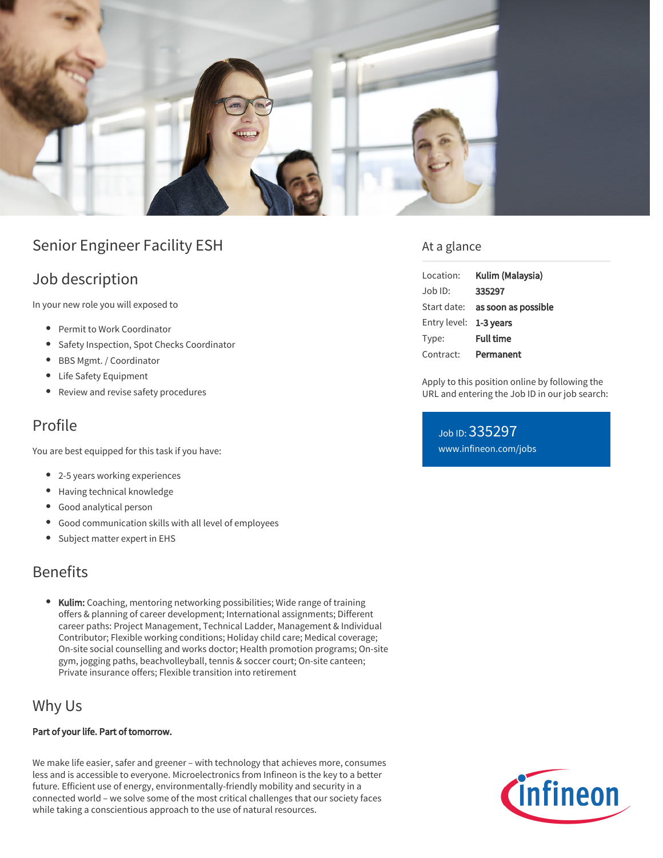

# Senior Engineer Facility ESH

## Job description

In your new role you will exposed to

- **•** Permit to Work Coordinator
- **•** Safety Inspection, Spot Checks Coordinator
- BBS Mgmt. / Coordinator
- Life Safety Equipment
- Review and revise safety procedures

### Profile

You are best equipped for this task if you have:

- 2-5 years working experiences
- Having technical knowledge
- Good analytical person
- Good communication skills with all level of employees
- Subject matter expert in EHS

### Benefits

Kulim: Coaching, mentoring networking possibilities; Wide range of training offers & planning of career development; International assignments; Different career paths: Project Management, Technical Ladder, Management & Individual Contributor; Flexible working conditions; Holiday child care; Medical coverage; On-site social counselling and works doctor; Health promotion programs; On-site gym, jogging paths, beachvolleyball, tennis & soccer court; On-site canteen; Private insurance offers; Flexible transition into retirement

### Why Us

#### Part of your life. Part of tomorrow.

We make life easier, safer and greener – with technology that achieves more, consumes less and is accessible to everyone. Microelectronics from Infineon is the key to a better future. Efficient use of energy, environmentally-friendly mobility and security in a connected world – we solve some of the most critical challenges that our society faces while taking a conscientious approach to the use of natural resources.

#### At a glance

| Location:              | Kulim (Malaysia)                       |
|------------------------|----------------------------------------|
| Job ID:                | 335297                                 |
|                        | Start date: <b>as soon as possible</b> |
| Entry level: 1-3 years |                                        |
| Type:                  | <b>Full time</b>                       |
| Contract:              | Permanent                              |

Apply to this position online by following the URL and entering the Job ID in our job search:

Job ID: 335297 [www.infineon.com/jobs](https://www.infineon.com/jobs)